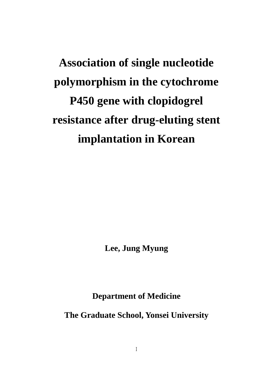**Lee, Jung Myung** 

**Department of Medicine** 

**The Graduate School, Yonsei University**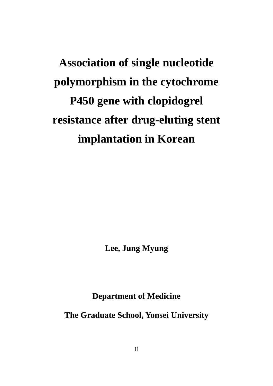**Lee, Jung Myung** 

**Department of Medicine** 

**The Graduate School, Yonsei University**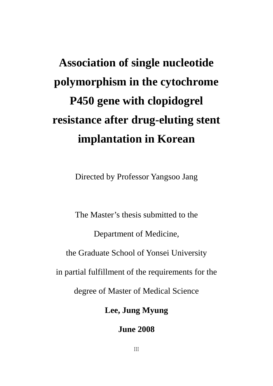Directed by Professor Yangsoo Jang

The Master's thesis submitted to the Department of Medicine, the Graduate School of Yonsei University in partial fulfillment of the requirements for the degree of Master of Medical Science

**Lee, Jung Myung** 

**June 2008**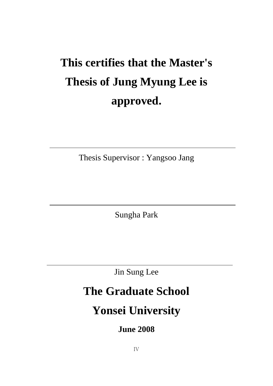# **This certifies that the Master's Thesis of Jung Myung Lee is approved.**

Thesis Supervisor : Yangsoo Jang

Sungha Park

Jin Sung Lee

# **The Graduate School**

# **Yonsei University**

**June 2008**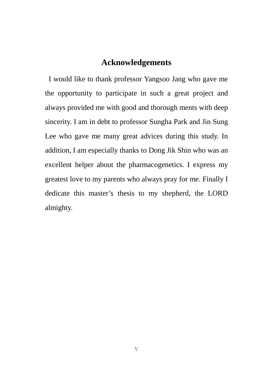### **Acknowledgements**

I would like to thank professor Yangsoo Jang who gave me the opportunity to participate in such a great project and always provided me with good and thorough ments with deep sincerity. I am in debt to professor Sungha Park and Jin Sung Lee who gave me many great advices during this study. In addition, I am especially thanks to Dong Jik Shin who was an excellent helper about the pharmacogenetics. I express my greatest love to my parents who always pray for me. Finally I dedicate this master's thesis to my shepherd, the LORD almighty.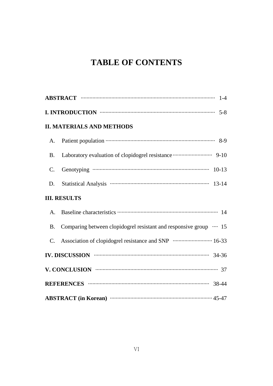## **TABLE OF CONTENTS**

|                 | <b>II. MATERIALS AND METHODS</b>                                  |
|-----------------|-------------------------------------------------------------------|
| A.              |                                                                   |
| <b>B.</b>       |                                                                   |
| $\mathcal{C}$ . |                                                                   |
| D.              |                                                                   |
|                 | <b>III. RESULTS</b>                                               |
| A <sub>1</sub>  |                                                                   |
| <b>B.</b>       | Comparing between clopidogrel resistant and responsive group  15  |
| $\mathbf{C}$ .  | Association of clopidogrel resistance and SNP manufacturers 16-33 |
|                 | IV. DISCUSSION WELL ASSESSED A 24-36                              |
|                 | V. CONCLUSION <b>With CONCLUSION</b> 37                           |
|                 |                                                                   |
|                 | ABSTRACT (in Korean) manufactured and 45-47                       |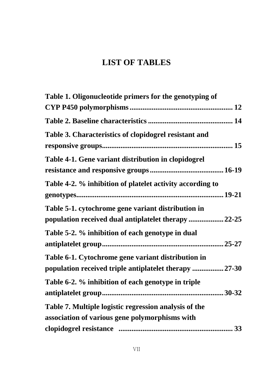## **LIST OF TABLES**

| Table 1. Oligonucleotide primers for the genotyping of    |
|-----------------------------------------------------------|
|                                                           |
|                                                           |
| Table 3. Characteristics of clopidogrel resistant and     |
|                                                           |
| Table 4-1. Gene variant distribution in clopidogrel       |
|                                                           |
| Table 4-2. % inhibition of platelet activity according to |
|                                                           |
| Table 5-1. cytochrome gene variant distribution in        |
| population received dual antiplatelet therapy  22-25      |
| Table 5-2. % inhibition of each genotype in dual          |
|                                                           |
| Table 6-1. Cytochrome gene variant distribution in        |
| population received triple antiplatelet therapy  27-30    |
| Table 6-2. % inhibition of each genotype in triple        |
|                                                           |
| Table 7. Multiple logistic regression analysis of the     |
| association of various gene polymorphisms with            |
|                                                           |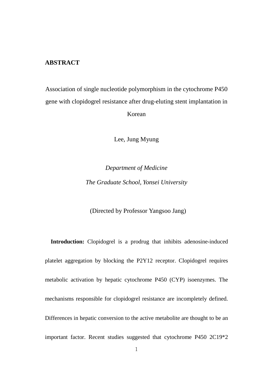#### **ABSTRACT**

Association of single nucleotide polymorphism in the cytochrome P450 gene with clopidogrel resistance after drug-eluting stent implantation in Korean

Lee, Jung Myung

*Department of Medicine The Graduate School, Yonsei University* 

(Directed by Professor Yangsoo Jang)

**Introduction:** Clopidogrel is a prodrug that inhibits adenosine-induced platelet aggregation by blocking the P2Y12 receptor. Clopidogrel requires metabolic activation by hepatic cytochrome P450 (CYP) isoenzymes. The mechanisms responsible for clopidogrel resistance are incompletely defined. Differences in hepatic conversion to the active metabolite are thought to be an important factor. Recent studies suggested that cytochrome P450 2C19\*2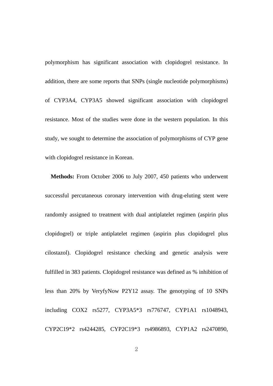polymorphism has significant association with clopidogrel resistance. In addition, there are some reports that SNPs (single nucleotide polymorphisms) of CYP3A4, CYP3A5 showed significant association with clopidogrel resistance. Most of the studies were done in the western population. In this study, we sought to determine the association of polymorphisms of CYP gene with clopidogrel resistance in Korean.

**Methods:** From October 2006 to July 2007, 450 patients who underwent successful percutaneous coronary intervention with drug-eluting stent were randomly assigned to treatment with dual antiplatelet regimen (aspirin plus clopidogrel) or triple antiplatelet regimen (aspirin plus clopidogrel plus cilostazol). Clopidogrel resistance checking and genetic analysis were fulfilled in 383 patients. Clopidogrel resistance was defined as % inhibition of less than 20% by VeryfyNow P2Y12 assay. The genotyping of 10 SNPs including COX2 rs5277, CYP3A5\*3 rs776747, CYP1A1 rs1048943, CYP2C19\*2 rs4244285, CYP2C19\*3 rs4986893, CYP1A2 rs2470890,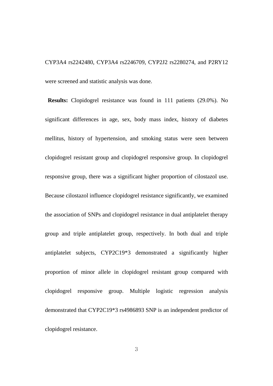CYP3A4 rs2242480, CYP3A4 rs2246709, CYP2J2 rs2280274, and P2RY12 were screened and statistic analysis was done.

**Results:** Clopidogrel resistance was found in 111 patients (29.0%). No significant differences in age, sex, body mass index, history of diabetes mellitus, history of hypertension, and smoking status were seen between clopidogrel resistant group and clopidogrel responsive group. In clopidogrel responsive group, there was a significant higher proportion of cilostazol use. Because cilostazol influence clopidogrel resistance significantly, we examined the association of SNPs and clopidogrel resistance in dual antiplatelet therapy group and triple antiplatelet group, respectively. In both dual and triple antiplatelet subjects, CYP2C19\*3 demonstrated a significantly higher proportion of minor allele in clopidogrel resistant group compared with clopidogrel responsive group. Multiple logistic regression analysis demonstrated that CYP2C19\*3 rs4986893 SNP is an independent predictor of clopidogrel resistance.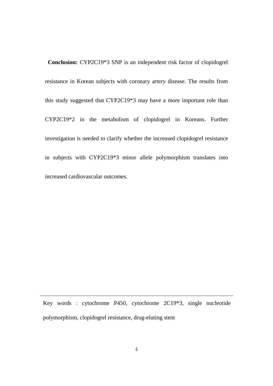**Conclusion:** CYP2C19\*3 SNP is an independent risk factor of clopidogrel resistance in Korean subjects with coronary artery disease. The results from this study suggested that CYP2C19\*3 may have a more important role than CYP2C19\*2 in the metabolism of clopidogrel in Koreans. Further investigation is needed to clarify whether the increased clopidogrel resistance in subjects with CYP2C19\*3 minor allele polymorphism translates into increased cardiovascular outcomes.

Key words : cytochrome P450, cytochrome 2C19\*3, single nucleotide polymorphism, clopidogrel resistance, drug-eluting stent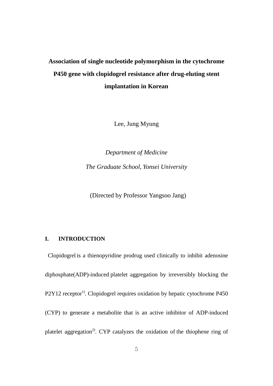Lee, Jung Myung

*Department of Medicine The Graduate School, Yonsei University* 

(Directed by Professor Yangsoo Jang)

#### **I. INTRODUCTION**

Clopidogrel is a thienopyridine prodrug used clinically to inhibit adenosine diphosphate(ADP)-induced platelet aggregation by irreversibly blocking the P2Y12 receptor<sup>1)</sup>. Clopidogrel requires oxidation by hepatic cytochrome P450 (CYP) to generate a metabolite that is an active inhibitor of ADP-induced platelet aggregation<sup>2)</sup>. CYP catalyzes the oxidation of the thiophene ring of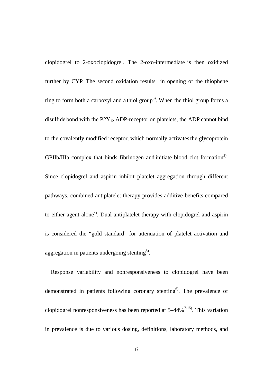clopidogrel to 2-oxoclopidogrel. The 2-oxo-intermediate is then oxidized further by CYP. The second oxidation results in opening of the thiophene ring to form both a carboxyl and a thiol group<sup>3)</sup>. When the thiol group forms a disulfide bond with the  $P2Y_{12}$  ADP-receptor on platelets, the ADP cannot bind to the covalently modified receptor, which normally activates the glycoprotein GPIIb/IIIa complex that binds fibrinogen and initiate blood clot formation<sup>3)</sup>. Since clopidogrel and aspirin inhibit platelet aggregation through different pathways, combined antiplatelet therapy provides additive benefits compared to either agent alone<sup>4)</sup>. Dual antiplatelet therapy with clopidogrel and aspirin is considered the "gold standard" for attenuation of platelet activation and aggregation in patients undergoing stenting<sup>5)</sup>.

Response variability and nonresponsiveness to clopidogrel have been demonstrated in patients following coronary stenting<sup>6</sup>. The prevalence of clopidogrel nonresponsiveness has been reported at  $5-44\%$ <sup>7-15)</sup>. This variation in prevalence is due to various dosing, definitions, laboratory methods, and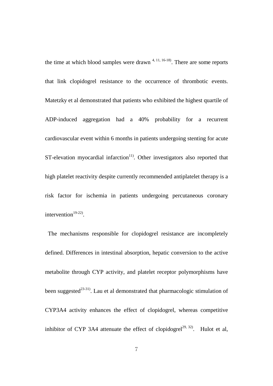the time at which blood samples were drawn  $4, 11, 16-18$ . There are some reports that link clopidogrel resistance to the occurrence of thrombotic events. Matetzky et al demonstrated that patients who exhibited the highest quartile of ADP-induced aggregation had a 40% probability for a recurrent cardiovascular event within 6 months in patients undergoing stenting for acute  $ST$ -elevation myocardial infarction<sup>11)</sup>. Other investigators also reported that high platelet reactivity despite currently recommended antiplatelet therapy is a risk factor for ischemia in patients undergoing percutaneous coronary intervention<sup>19-22)</sup>.

The mechanisms responsible for clopidogrel resistance are incompletely defined. Differences in intestinal absorption, hepatic conversion to the active metabolite through CYP activity, and platelet receptor polymorphisms have been suggested $2^{3-31}$ . Lau et al demonstrated that pharmacologic stimulation of CYP3A4 activity enhances the effect of clopidogrel, whereas competitive inhibitor of CYP 3A4 attenuate the effect of clopidogrel<sup>29, 32</sup>. Hulot et al,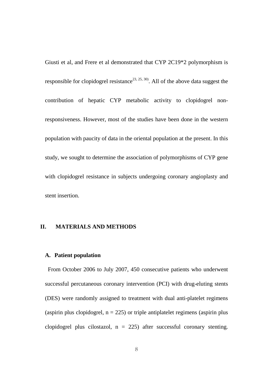Giusti et al, and Frere et al demonstrated that CYP 2C19\*2 polymorphism is responsible for clopidogrel resistance<sup>23, 25, 30</sup>. All of the above data suggest the contribution of hepatic CYP metabolic activity to clopidogrel nonresponsiveness. However, most of the studies have been done in the western population with paucity of data in the oriental population at the present. In this study, we sought to determine the association of polymorphisms of CYP gene with clopidogrel resistance in subjects undergoing coronary angioplasty and stent insertion.

#### **II. MATERIALS AND METHODS**

#### **A. Patient population**

From October 2006 to July 2007, 450 consecutive patients who underwent successful percutaneous coronary intervention (PCI) with drug-eluting stents (DES) were randomly assigned to treatment with dual anti-platelet regimens (aspirin plus clopidogrel,  $n = 225$ ) or triple antiplatelet regimens (aspirin plus clopidogrel plus cilostazol,  $n = 225$ ) after successful coronary stenting.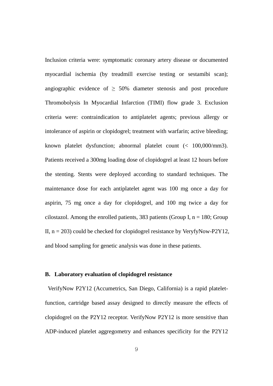Inclusion criteria were: symptomatic coronary artery disease or documented myocardial ischemia (by treadmill exercise testing or sestamibi scan); angiographic evidence of  $\geq 50\%$  diameter stenosis and post procedure Thromobolysis In Myocardial Infarction (TIMI) flow grade 3. Exclusion criteria were: contraindication to antiplatelet agents; previous allergy or intolerance of aspirin or clopidogrel; treatment with warfarin; active bleeding; known platelet dysfunction; abnormal platelet count (< 100,000/mm3). Patients received a 300mg loading dose of clopidogrel at least 12 hours before the stenting. Stents were deployed according to standard techniques. The maintenance dose for each antiplatelet agent was 100 mg once a day for aspirin, 75 mg once a day for clopidogrel, and 100 mg twice a day for cilostazol. Among the enrolled patients, 383 patients (Group I,  $n = 180$ ; Group II,  $n = 203$ ) could be checked for clopidogrel resistance by VeryfyNow-P2Y12, and blood sampling for genetic analysis was done in these patients.

#### **B. Laboratory evaluation of clopidogrel resistance**

VerifyNow P2Y12 (Accumetrics, San Diego, California) is a rapid plateletfunction, cartridge based assay designed to directly measure the effects of clopidogrel on the P2Y12 receptor. VerifyNow P2Y12 is more sensitive than ADP-induced platelet aggregometry and enhances specificity for the P2Y12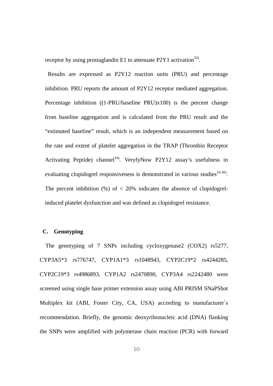receptor by using prostaglandin E1 to attenuate  $P2Y1$  activation<sup>33</sup>.

Results are expressed as P2Y12 reaction units (PRU) and percentage inhibition. PRU reports the amount of P2Y12 receptor mediated aggregation. Percentage inhibition ((1-PRU/baseline PRU)x100) is the percent change from baseline aggregation and is calculated from the PRU result and the "estimated baseline" result, which is an independent measurement based on the rate and extent of platelet aggregation in the TRAP (Thrombin Receptor Activating Peptide) channel<sup>34)</sup>. VeryfyNow P2Y12 assay's usefulness in evaluating clopidogrel responsiveness is demonstrated in various studies<sup>33-36)</sup>. The percent inhibition  $(\%)$  of  $\lt$  20% indicates the absence of clopidogrelinduced platelet dysfunction and was defined as clopidogrel resistance.

#### **C. Genotyping**

The genotyping of 7 SNPs including cycloxygenase2 (COX2) rs5277, CYP3A5\*3 rs776747, CYP1A1\*3 rs1048943, CYP2C19\*2 rs4244285, CYP2C19\*3 rs4986893, CYP1A2 rs2470890, CYP3A4 rs2242480 were screened using single base primer extension assay using ABI PRISM SNaPShot Multiplex kit (ABI, Foster City, CA, USA) according to manufacturer's recommendation. Briefly, the genomic deoxyribonucleic acid (DNA) flanking the SNPs were amplified with polymerase chain reaction (PCR) with forward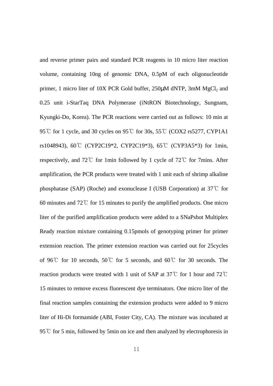and reverse primer pairs and standard PCR reagents in 10 micro liter reaction volume, containing 10ng of genomic DNA, 0.5pM of each oligonucleotide primer, 1 micro liter of 10X PCR Gold buffer,  $250\mu$ M dNTP,  $3$ mM MgCl<sub>2</sub> and 0.25 unit i-StarTaq DNA Polymerase (iNtRON Biotechnology, Sungnam, Kyungki-Do, Korea). The PCR reactions were carried out as follows: 10 min at 95 ℃ for 1 cycle, and 30 cycles on 95 ℃ for 30s, 55 ℃ (COX2 rs5277, CYP1A1 rs1048943), 60℃ (CYP2C19\*2, CYP2C19\*3), 65℃ (CYP3A5\*3) for 1min, respectively, and 72℃ for 1min followed by 1 cycle of 72℃ for 7mins. After amplification, the PCR products were treated with 1 unit each of shrimp alkaline phosphatase (SAP) (Roche) and exonuclease I (USB Corporation) at 37℃ for 60 minutes and 72℃ for 15 minutes to purify the amplified products. One micro liter of the purified amplification products were added to a SNaPshot Multiplex Ready reaction mixture containing 0.15pmols of genotyping primer for primer extension reaction. The primer extension reaction was carried out for 25cycles of 96℃ for 10 seconds, 50℃ for 5 seconds, and 60℃ for 30 seconds. The reaction products were treated with 1 unit of SAP at 37℃ for 1 hour and 72℃ 15 minutes to remove excess fluorescent dye terminators. One micro liter of the final reaction samples containing the extension products were added to 9 micro liter of Hi-Di formamide (ABI, Foster City, CA). The mixture was incubated at 95℃ for 5 min, followed by 5min on ice and then analyzed by electrophoresis in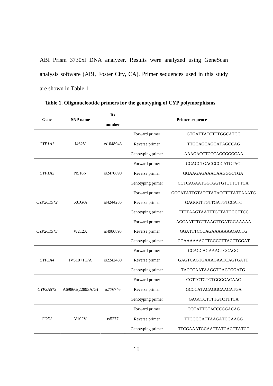ABI Prism 3730xl DNA analyzer. Results were analyzed using GeneScan analysis software (ABI, Foster City, CA). Primer sequences used in this study are shown in Table 1

| Gene       | <b>SNP</b> name  | $\mathbf{R}s$<br>number | <b>Primer sequence</b> |                                  |  |  |
|------------|------------------|-------------------------|------------------------|----------------------------------|--|--|
|            |                  |                         | Forward primer         | <b>GTGATTATCTTTGGCATGG</b>       |  |  |
| CYP1A1     | I462V            | rs1048943               | Reverse primer         | TTGCAGCAGGATAGCCAG               |  |  |
|            |                  |                         | Genotyping primer      | AAAGACCTCCCAGCGGGCAA             |  |  |
|            |                  |                         | Forward primer         | <b>CGACCTGACCCCCATCTAC</b>       |  |  |
| CYPIA2     | N516N            | rs2470890               | Reverse primer         | GGAAGAGAAACAAGGGCTGA             |  |  |
|            |                  |                         | Genotyping primer      | CCTCAGAATGGTGGTGTCTTCTTCA        |  |  |
|            |                  |                         | Forward primer         | GGCATATTGTATCTATACCTTTATTAAATG   |  |  |
| CYP2C19*2  | $681 \text{G/A}$ | rs4244285               | Reverse primer         | GAGGGTTGTTGATGTCCATC             |  |  |
|            |                  |                         | Genotyping primer      | TTTTAAGTAATTTGTTATGGGTTCC        |  |  |
|            |                  |                         | Forward primer         | AGCAATTTCTTAACTTGATGGAAAAA       |  |  |
| CYP2C19*3  | W212X            | rs4986893               | Reverse primer         | GGATTTCCCAGAAAAAAAAGACTG         |  |  |
|            |                  |                         | Genotyping primer      | <b>GCAAAAAACTTGGCCTTACCTGGAT</b> |  |  |
|            |                  |                         | Forward primer         | <b>CCAGCAGAAACTGCAGG</b>         |  |  |
| CYP3A4     | $IVS10+1G/A$     | rs2242480               | Reverse primer         | GAGTCAGTGAAAGAATCAGTGATT         |  |  |
|            |                  |                         | Genotyping primer      | TACCCAATAAGGTGAGTGGATG           |  |  |
|            |                  |                         | Forward primer         | CGTTCTGTGTGGGGACAAC              |  |  |
| $CYP3A5*3$ | A6986G(22893A/G) | rs776746                | Reverse primer         | <b>GCCCATACAGGCAACATGA</b>       |  |  |
|            |                  |                         | Genotyping primer      | <b>GAGCTCTTTTGTCTTTCA</b>        |  |  |
|            |                  |                         | Forward primer         | <b>GCGATTGTACCCGGACAG</b>        |  |  |
| COX2       | V102V            | rs5277                  | Reverse primer         | TTGGCGATTAAGATGGAAGG             |  |  |
|            |                  |                         | Genotyping primer      | TTCGAAATGCAATTATGAGTTATGT        |  |  |

**Table 1. Oligonucleotide primers for the genotyping of CYP polymorphisms**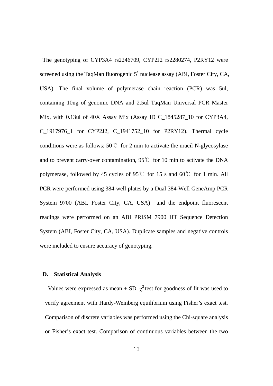The genotyping of CYP3A4 rs2246709, CYP2J2 rs2280274, P2RY12 were screened using the TaqMan fluorogenic 5' nuclease assay (ABI, Foster City, CA, USA). The final volume of polymerase chain reaction (PCR) was 5ul, containing 10ng of genomic DNA and 2.5ul TaqMan Universal PCR Master Mix, with 0.13ul of 40X Assay Mix (Assay ID C\_1845287\_10 for CYP3A4, C\_1917976\_1 for CYP2J2, C\_1941752\_10 for P2RY12). Thermal cycle conditions were as follows:  $50^{\circ}$  for 2 min to activate the uracil N-glycosylase and to prevent carry-over contamination, 95℃ for 10 min to activate the DNA polymerase, followed by 45 cycles of 95℃ for 15 s and 60℃ for 1 min. All PCR were performed using 384-well plates by a Dual 384-Well GeneAmp PCR System 9700 (ABI, Foster City, CA, USA) and the endpoint fluorescent readings were performed on an ABI PRISM 7900 HT Sequence Detection System (ABI, Foster City, CA, USA). Duplicate samples and negative controls were included to ensure accuracy of genotyping.

#### **D. Statistical Analysis**

Values were expressed as mean  $\pm$  SD.  $\chi^2$  test for goodness of fit was used to verify agreement with Hardy-Weinberg equilibrium using Fisher's exact test. Comparison of discrete variables was performed using the Chi-square analysis or Fisher's exact test. Comparison of continuous variables between the two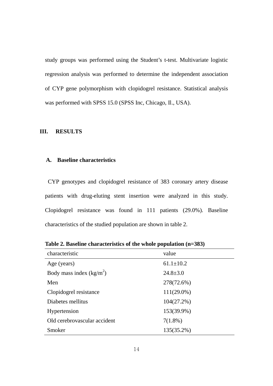study groups was performed using the Student's t-test. Multivariate logistic regression analysis was performed to determine the independent association of CYP gene polymorphism with clopidogrel resistance. Statistical analysis was performed with SPSS 15.0 (SPSS Inc, Chicago, Il., USA).

#### **III. RESULTS**

#### **A. Baseline characteristics**

 CYP genotypes and clopidogrel resistance of 383 coronary artery disease patients with drug-eluting stent insertion were analyzed in this study. Clopidogrel resistance was found in 111 patients (29.0%). Baseline characteristics of the studied population are shown in table 2.

**Table 2. Baseline characteristics of the whole population (n=383)**

| characteristic               | value           |
|------------------------------|-----------------|
| Age (years)                  | $61.1 \pm 10.2$ |
| Body mass index $(kg/m2)$    | $24.8 \pm 3.0$  |
| Men                          | 278(72.6%)      |
| Clopidogrel resistance       | $111(29.0\%)$   |
| Diabetes mellitus            | 104(27.2%)      |
| Hypertension                 | 153(39.9%)      |
| Old cerebrovascular accident | $7(1.8\%)$      |
| Smoker                       | 135(35.2%)      |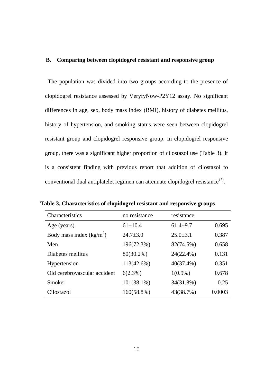#### **B. Comparing between clopidogrel resistant and responsive group**

The population was divided into two groups according to the presence of clopidogrel resistance assessed by VeryfyNow-P2Y12 assay. No significant differences in age, sex, body mass index (BMI), history of diabetes mellitus, history of hypertension, and smoking status were seen between clopidogrel resistant group and clopidogrel responsive group. In clopidogrel responsive group, there was a significant higher proportion of cilostazol use (Table 3). It is a consistent finding with previous report that addition of cilostazol to conventional dual antiplatelet regimen can attenuate clopidogrel resistance $37$ .

| Characteristics              | no resistance  | resistance     |        |
|------------------------------|----------------|----------------|--------|
| Age (years)                  | $61 \pm 10.4$  | $61.4 + 9.7$   | 0.695  |
| Body mass index $(kg/m2)$    | $24.7 \pm 3.0$ | $25.0 \pm 3.1$ | 0.387  |
| Men                          | 196(72.3%)     | 82(74.5%)      | 0.658  |
| Diabetes mellitus            | 80(30.2%)      | 24(22.4%)      | 0.131  |
| Hypertension                 | 113(42.6%)     | $40(37.4\%)$   | 0.351  |
| Old cerebrovascular accident | $6(2.3\%)$     | $1(0.9\%)$     | 0.678  |
| Smoker                       | $101(38.1\%)$  | 34(31.8%)      | 0.25   |
| Cilostazol                   | 160(58.8%)     | 43(38.7%)      | 0.0003 |

**Table 3. Characteristics of clopidogrel resistant and responsive groups**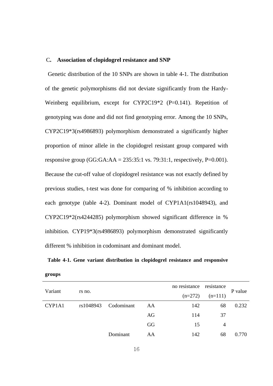#### C**. Association of clopidogrel resistance and SNP**

Genetic distribution of the 10 SNPs are shown in table 4-1. The distribution of the genetic polymorphisms did not deviate significantly from the Hardy-Weinberg equilibrium, except for CYP2C19\*2 (P=0.141). Repetition of genotyping was done and did not find genotyping error. Among the 10 SNPs, CYP2C19\*3(rs4986893) polymorphism demonstrated a significantly higher proportion of minor allele in the clopidogrel resistant group compared with responsive group (GG:GA:AA =  $235:35:1$  vs. 79:31:1, respectively, P=0.001). Because the cut-off value of clopidogrel resistance was not exactly defined by previous studies, t-test was done for comparing of % inhibition according to each genotype (table 4-2). Dominant model of CYP1A1(rs1048943), and CYP2C19\*2(rs4244285) polymorphism showed significant difference in % inhibition. CYP19\*3(rs4986893) polymorphism demonstrated significantly different % inhibition in codominant and dominant model.

**Table 4-1. Gene variant distribution in clopidogrel resistance and responsive** 

| Variant |           |            |    | no resistance | resistance | P value |
|---------|-----------|------------|----|---------------|------------|---------|
|         | rs no.    |            |    | $(n=272)$     | $(n=111)$  |         |
| CYP1A1  | rs1048943 | Codominant | AA | 142           | 68         | 0.232   |
|         |           |            | AG | 114           | 37         |         |
|         |           |            | GG | 15            | 4          |         |
|         |           | Dominant   | AA | 142           | 68         | 0.770   |

**groups**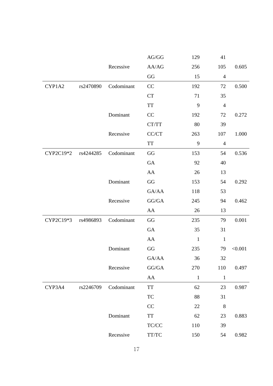|           |           |            | AG/GG                                                    | 129          | 41             |         |
|-----------|-----------|------------|----------------------------------------------------------|--------------|----------------|---------|
|           |           | Recessive  | AA/AG                                                    | 256          | 105            | 0.605   |
|           |           |            | GG                                                       | 15           | $\overline{4}$ |         |
| CYP1A2    | rs2470890 | Codominant | CC                                                       | 192          | 72             | 0.500   |
|           |           |            | CT                                                       | 71           | 35             |         |
|           |           |            | <b>TT</b>                                                | 9            | $\overline{4}$ |         |
|           |           | Dominant   | CC                                                       | 192          | 72             | 0.272   |
|           |           |            | CT/TT                                                    | 80           | 39             |         |
|           |           | Recessive  | CC/CT                                                    | 263          | 107            | 1.000   |
|           |           |            | TT                                                       | 9            | $\overline{4}$ |         |
| CYP2C19*2 | rs4244285 | Codominant | $\rm GG$                                                 | 153          | 54             | 0.536   |
|           |           |            | GA                                                       | 92           | 40             |         |
|           |           |            | ${\rm AA}$                                               | 26           | 13             |         |
|           |           | Dominant   | GG                                                       | 153          | 54             | 0.292   |
|           |           |            | GA/AA                                                    | 118          | 53             |         |
|           |           | Recessive  | ${\rm GG}/{\rm GA}$                                      | 245          | 94             | 0.462   |
|           |           |            | AA                                                       | 26           | 13             |         |
| CYP2C19*3 | rs4986893 | Codominant | GG                                                       | 235          | 79             | 0.001   |
|           |           |            | GA                                                       | 35           | 31             |         |
|           |           |            | ${\rm AA}$                                               | $\mathbf{1}$ | $\mathbf{1}$   |         |
|           |           | Dominant   | GG                                                       | 235          | 79             | < 0.001 |
|           |           |            | GA/AA                                                    | 36           | 32             |         |
|           |           | Recessive  | GG/GA                                                    | 270          | 110            | 0.497   |
|           |           |            | ${\rm AA}$                                               | $\mathbf{1}$ | $\mathbf{1}$   |         |
| CYP3A4    | rs2246709 | Codominant | TT                                                       | 62           | 23             | 0.987   |
|           |           |            | TC                                                       | 88           | 31             |         |
|           |           |            | CC                                                       | 22           | $\,8\,$        |         |
|           |           | Dominant   | $\ensuremath{\mathcal{T}}\ensuremath{\mathcal{T}}$       | 62           | 23             | 0.883   |
|           |           |            | $\ensuremath{\mathsf{T}\mathsf{C}/\mathsf{C}\mathsf{C}}$ | 110          | 39             |         |
|           |           | Recessive  | TT/TC                                                    | 150          | 54             | 0.982   |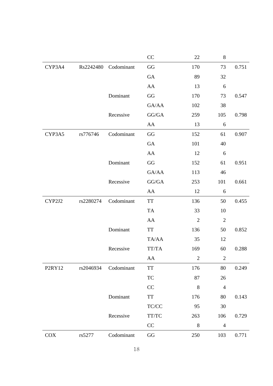|        |           |            | CC                                                          | 22             | $\,8\,$          |       |
|--------|-----------|------------|-------------------------------------------------------------|----------------|------------------|-------|
| CYP3A4 | Rs2242480 | Codominant | GG                                                          | 170            | 73               | 0.751 |
|        |           |            | GA                                                          | 89             | 32               |       |
|        |           |            | AA                                                          | 13             | 6                |       |
|        |           | Dominant   | $\mathbf{G}\mathbf{G}$                                      | 170            | 73               | 0.547 |
|        |           |            | GA/AA                                                       | 102            | 38               |       |
|        |           | Recessive  | GG/GA                                                       | 259            | 105              | 0.798 |
|        |           |            | AA                                                          | 13             | $\boldsymbol{6}$ |       |
| CYP3A5 | rs776746  | Codominant | $\mathbf{G}\mathbf{G}$                                      | 152            | 61               | 0.907 |
|        |           |            | GA                                                          | 101            | 40               |       |
|        |           |            | ${\rm AA}$                                                  | 12             | 6                |       |
|        |           | Dominant   | $\mathbf{G}\mathbf{G}$                                      | 152            | 61               | 0.951 |
|        |           |            | GA/AA                                                       | 113            | 46               |       |
|        |           | Recessive  | GG/GA                                                       | 253            | 101              | 0.661 |
|        |           |            | ${\rm AA}$                                                  | 12             | $\boldsymbol{6}$ |       |
| CYP2J2 | rs2280274 | Codominant | TT                                                          | 136            | 50               | 0.455 |
|        |           |            | TA                                                          | 33             | 10               |       |
|        |           |            | AA                                                          | $\mathfrak{2}$ | $\overline{2}$   |       |
|        |           | Dominant   | TT                                                          | 136            | 50               | 0.852 |
|        |           |            | TA/AA                                                       | 35             | 12               |       |
|        |           | Recessive  | $TT/TA$                                                     | 169            | 60               | 0.288 |
|        |           |            | ${\rm AA}$                                                  | $\overline{2}$ | $\overline{2}$   |       |
| P2RY12 | rs2046934 | Codominant | TT                                                          | 176            | 80               | 0.249 |
|        |           |            | TC                                                          | 87             | 26               |       |
|        |           |            | CC                                                          | $\,$ 8 $\,$    | 4                |       |
|        |           | Dominant   | $\ensuremath{\mathsf{T}}\ensuremath{\mathsf{T}}$            | 176            | 80               | 0.143 |
|        |           |            | $\ensuremath{\mathsf{T}\mathsf{C}/\mathsf{C}\mathsf{C}}$    | 95             | 30               |       |
|        |           | Recessive  | $\ensuremath{\mathcal{T}\mathcal{T}\mathcal{T}\mathcal{C}}$ | 263            | 106              | 0.729 |
|        |           |            | $\rm CC$                                                    | $\,8\,$        | $\overline{4}$   |       |
| COX    | rs5277    | Codominant | $\mathbf{G}\mathbf{G}$                                      | 250            | 103              | 0.771 |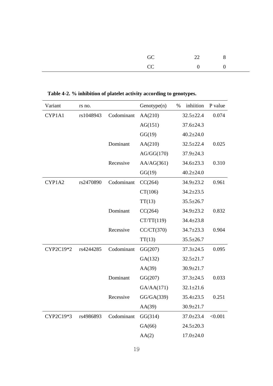| GC $22$ 8 |  |
|-----------|--|
| $CC$ 0 0  |  |

| Variant   | rs no.    |            | Genotype(n) | % | inhiition       | P value |
|-----------|-----------|------------|-------------|---|-----------------|---------|
| CYP1A1    | rs1048943 | Codominant | AA(210)     |   | $32.5 \pm 22.4$ | 0.074   |
|           |           |            | AG(151)     |   | $37.6 \pm 24.3$ |         |
|           |           |            | GG(19)      |   | $40.2 \pm 24.0$ |         |
|           |           | Dominant   | AA(210)     |   | $32.5 \pm 22.4$ | 0.025   |
|           |           |            | AG/GG(170)  |   | $37.9 \pm 24.3$ |         |
|           |           | Recessive  | AA/AG(361)  |   | $34.6 \pm 23.3$ | 0.310   |
|           |           |            | GG(19)      |   | $40.2 \pm 24.0$ |         |
| CYP1A2    | rs2470890 | Codominant | CC(264)     |   | 34.9±23.2       | 0.961   |
|           |           |            | CT(106)     |   | $34.2 \pm 23.5$ |         |
|           |           |            | TT(13)      |   | $35.5 \pm 26.7$ |         |
|           |           | Dominant   | CC(264)     |   | 34.9±23.2       | 0.832   |
|           |           |            | CT/TT(119)  |   | $34.4 \pm 23.8$ |         |
|           |           | Recessive  | CC/CT(370)  |   | $34.7 \pm 23.3$ | 0.904   |
|           |           |            | TT(13)      |   | $35.5 \pm 26.7$ |         |
| CYP2C19*2 | rs4244285 | Codominant | GG(207)     |   | $37.3 \pm 24.5$ | 0.095   |
|           |           |            | GA(132)     |   | $32.5 \pm 21.7$ |         |
|           |           |            | AA(39)      |   | $30.9 \pm 21.7$ |         |
|           |           | Dominant   | GG(207)     |   | $37.3 \pm 24.5$ | 0.033   |
|           |           |            | GA/AA(171)  |   | $32.1 \pm 21.6$ |         |
|           |           | Recessive  | GG/GA(339)  |   | $35.4 \pm 23.5$ | 0.251   |
|           |           |            | AA(39)      |   | $30.9 \pm 21.7$ |         |
| CYP2C19*3 | rs4986893 | Codominant | GG(314)     |   | $37.0 \pm 23.4$ | < 0.001 |
|           |           |            | GA(66)      |   | $24.5 \pm 20.3$ |         |
|           |           |            | AA(2)       |   | $17.0 \pm 24.0$ |         |

**Table 4-2. % inhibition of platelet activity according to genotypes.**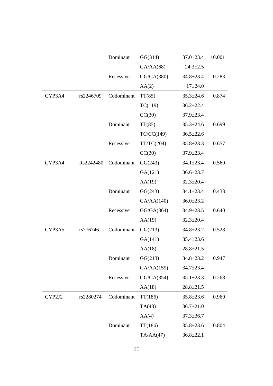|        |           | Dominant   | GG(314)    | $37.0 \pm 23.4$ | < 0.001 |
|--------|-----------|------------|------------|-----------------|---------|
|        |           |            | GA/AA(68)  | $24.3 \pm 2.5$  |         |
|        |           | Recessive  | GG/GA(380) | $34.8 \pm 23.4$ | 0.283   |
|        |           |            | AA(2)      | $17+24.0$       |         |
| CYP3A4 | rs2246709 | Codominant | TT(85)     | $35.3 \pm 24.6$ | 0.874   |
|        |           |            | TC(119)    | $36.2 \pm 22.4$ |         |
|        |           |            | CC(30)     | $37.9 \pm 23.4$ |         |
|        |           | Dominant   | TT(85)     | $35.3 \pm 24.6$ | 0.699   |
|        |           |            | TC/CC(149) | $36.5 \pm 22.6$ |         |
|        |           | Recessive  | TT/TC(204) | $35.8 \pm 23.3$ | 0.657   |
|        |           |            | CC(30)     | $37.9 \pm 23.4$ |         |
| CYP3A4 | Rs2242480 | Codominant | GG(243)    | $34.1 \pm 23.4$ | 0.560   |
|        |           |            | GA(121)    | $36.6 \pm 23.7$ |         |
|        |           |            | AA(19)     | $32.3 \pm 20.4$ |         |
|        |           | Dominant   | GG(243)    | $34.1 \pm 23.4$ | 0.433   |
|        |           |            | GA/AA(140) | $36.0 \pm 23.2$ |         |
|        |           | Recessive  | GG/GA(364) | 34.9±23.5       | 0.640   |
|        |           |            | AA(19)     | $32.3 \pm 20.4$ |         |
| CYP3A5 | rs776746  | Codominant | GG(213)    | $34.8 \pm 23.2$ | 0.528   |
|        |           |            | GA(141)    | $35.4 \pm 23.6$ |         |
|        |           |            | AA(18)     | $28.8 \pm 21.5$ |         |
|        |           | Dominant   | GG(213)    | $34.8 \pm 23.2$ | 0.947   |
|        |           |            | GA/AA(159) | $34.7 \pm 23.4$ |         |
|        |           | Recessive  | GG/GA(354) | $35.1 \pm 23.3$ | 0.268   |
|        |           |            | AA(18)     | $28.8 \pm 21.5$ |         |
| CYP2J2 | rs2280274 | Codominant | TT(186)    | $35.8 \pm 23.6$ | 0.969   |
|        |           |            | TA(43)     | $36.7 \pm 21.0$ |         |
|        |           |            | AA(4)      | $37.3 \pm 36.7$ |         |
|        |           | Dominant   | TT(186)    | $35.8 \pm 23.6$ | 0.804   |
|        |           |            | TA/AA(47)  | $36.8 \pm 22.1$ |         |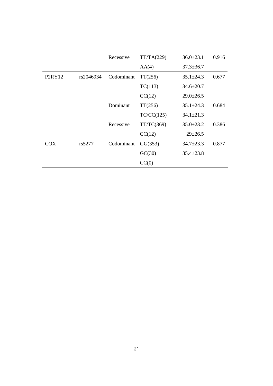|        |           | Recessive  | TT/TA(229) | $36.0 \pm 23.1$ | 0.916 |
|--------|-----------|------------|------------|-----------------|-------|
|        |           |            | AA(4)      | $37.3 \pm 36.7$ |       |
| P2RY12 | rs2046934 | Codominant | TT(256)    | $35.1 \pm 24.3$ | 0.677 |
|        |           |            | TC(113)    | $34.6 \pm 20.7$ |       |
|        |           |            | CC(12)     | $29.0 \pm 26.5$ |       |
|        |           | Dominant   | TT(256)    | $35.1 \pm 24.3$ | 0.684 |
|        |           |            | TC/CC(125) | $34.1 \pm 21.3$ |       |
|        |           | Recessive  | TT/TC(369) | $35.0 \pm 23.2$ | 0.386 |
|        |           |            | CC(12)     | $29 + 26.5$     |       |
| COX    | rs5277    | Codominant | GG(353)    | $34.7 \pm 23.3$ | 0.877 |
|        |           |            | GC(30)     | $35.4 \pm 23.8$ |       |
|        |           |            | CC(0)      |                 |       |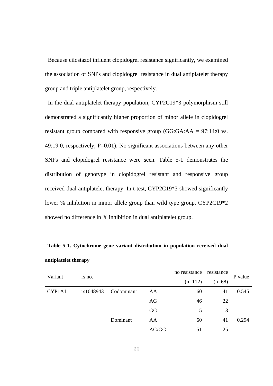Because cilostazol influent clopidogrel resistance significantly, we examined the association of SNPs and clopidogrel resistance in dual antiplatelet therapy group and triple antiplatelet group, respectively.

In the dual antiplatelet therapy population, CYP2C19\*3 polymorphism still demonstrated a significantly higher proportion of minor allele in clopidogrel resistant group compared with responsive group (GG:GA:AA = 97:14:0 vs. 49:19:0, respectively, P=0.01). No significant associations between any other SNPs and clopidogrel resistance were seen. Table 5-1 demonstrates the distribution of genotype in clopidogrel resistant and responsive group received dual antiplatelet therapy. In t-test, CYP2C19\*3 showed significantly lower % inhibition in minor allele group than wild type group. CYP2C19\*2 showed no difference in % inhibition in dual antiplatelet group.

| Variant |           | no resistance resistance |       |           |          |         |
|---------|-----------|--------------------------|-------|-----------|----------|---------|
|         | rs no.    |                          |       | $(n=112)$ | $(n=68)$ | P value |
| CYP1A1  | rs1048943 | Codominant               | AA    | 60        | 41       | 0.545   |
|         |           |                          | AG    | 46        | 22       |         |
|         |           |                          | GG    | 5         | 3        |         |
|         |           | Dominant                 | AA    | 60        | 41       | 0.294   |
|         |           |                          | AG/GG | 51        | 25       |         |

**Table 5-1. Cytochrome gene variant distribution in population received dual antiplatelet therapy**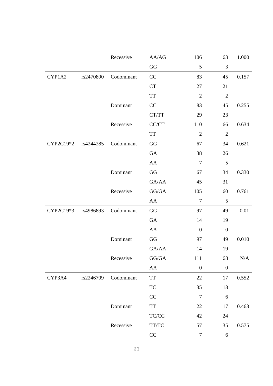|           |           | Recessive  | AA/AG                                                       | 106              | 63               | 1.000 |
|-----------|-----------|------------|-------------------------------------------------------------|------------------|------------------|-------|
|           |           |            | $\mathbf{G}\mathbf{G}$                                      | 5                | $\mathfrak{Z}$   |       |
| CYP1A2    | rs2470890 | Codominant | CC                                                          | 83               | 45               | 0.157 |
|           |           |            | CT                                                          | 27               | 21               |       |
|           |           |            | $\operatorname{TT}$                                         | $\mathfrak{2}$   | $\overline{2}$   |       |
|           |           | Dominant   | CC                                                          | 83               | 45               | 0.255 |
|           |           |            | CT/TT                                                       | 29               | 23               |       |
|           |           | Recessive  | $\mathbf{CC}/\mathbf{CT}$                                   | 110              | 66               | 0.634 |
|           |           |            | TT                                                          | $\overline{2}$   | $\sqrt{2}$       |       |
| CYP2C19*2 | rs4244285 | Codominant | GG                                                          | 67               | 34               | 0.621 |
|           |           |            | ${\rm GA}$                                                  | 38               | 26               |       |
|           |           |            | ${\rm AA}$                                                  | $\tau$           | 5                |       |
|           |           | Dominant   | GG                                                          | 67               | 34               | 0.330 |
|           |           |            | ${\rm GA}/\rm AA$                                           | 45               | 31               |       |
|           |           | Recessive  | ${\rm GG}/{\rm GA}$                                         | 105              | 60               | 0.761 |
|           |           |            | ${\rm AA}$                                                  | $\boldsymbol{7}$ | $\sqrt{5}$       |       |
| CYP2C19*3 | rs4986893 | Codominant | GG                                                          | 97               | 49               | 0.01  |
|           |           |            | ${\rm GA}$                                                  | 14               | 19               |       |
|           |           |            | AA                                                          | $\boldsymbol{0}$ | $\boldsymbol{0}$ |       |
|           |           | Dominant   | GG                                                          | 97               | 49               | 0.010 |
|           |           |            | GA/AA                                                       | 14               | 19               |       |
|           |           | Recessive  | $\mathbf{G}\mathbf{G}/\mathbf{G}\mathbf{A}$                 | 111              | 68               | N/A   |
|           |           |            | AA                                                          | $\boldsymbol{0}$ | $\boldsymbol{0}$ |       |
| CYP3A4    | rs2246709 | Codominant | TT                                                          | 22               | 17               | 0.552 |
|           |           |            | TC                                                          | 35               | 18               |       |
|           |           |            | CC                                                          | $\tau$           | 6                |       |
|           |           | Dominant   | $\ensuremath{\mathcal{T}}\ensuremath{\mathcal{T}}$          | 22               | $17\,$           | 0.463 |
|           |           |            | TC/CC                                                       | 42               | 24               |       |
|           |           | Recessive  | $\ensuremath{\mathcal{T}\mathcal{T}\mathcal{T}\mathcal{C}}$ | 57               | 35               | 0.575 |
|           |           |            | $\rm CC$                                                    | $\boldsymbol{7}$ | 6                |       |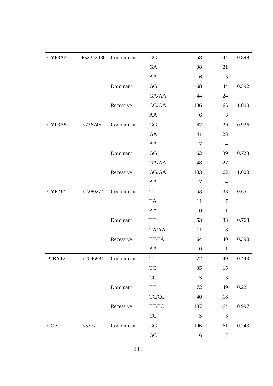| CYP3A4     | Rs2242480 | Codominant | $\mathbf{G}\mathbf{G}$                                                                | 68               | 44               | 0.898 |
|------------|-----------|------------|---------------------------------------------------------------------------------------|------------------|------------------|-------|
|            |           |            | ${\rm GA}$                                                                            | 38               | 21               |       |
|            |           |            | ${\rm AA}$                                                                            | 6                | $\mathfrak{Z}$   |       |
|            |           | Dominant   | $\rm GG$                                                                              | 68               | 44               | 0.592 |
|            |           |            | GA/AA                                                                                 | 44               | 24               |       |
|            |           | Recessive  | GG/GA                                                                                 | 106              | 65               | 1.000 |
|            |           |            | AA                                                                                    | $\sqrt{6}$       | 3                |       |
| CYP3A5     | rs776746  | Codominant | GG                                                                                    | 62               | 39               | 0.936 |
|            |           |            | ${\rm GA}$                                                                            | 41               | 23               |       |
|            |           |            | ${\rm AA}$                                                                            | $\overline{7}$   | $\overline{4}$   |       |
|            |           | Dominant   | $\mathbf{G}\mathbf{G}$                                                                | 62               | 39               | 0.723 |
|            |           |            | GA/AA                                                                                 | 48               | 27               |       |
|            |           | Recessive  | $\mathbf{G}\mathbf{G}/\mathbf{G}\mathbf{A}$                                           | 103              | 62               | 1.000 |
|            |           |            | ${\rm AA}$                                                                            | $\boldsymbol{7}$ | $\overline{4}$   |       |
| CYP2J2     | rs2280274 | Codominant | $\operatorname{TT}$                                                                   | 53               | 33               | 0.651 |
|            |           |            | ${\rm TA}$                                                                            | 11               | $\boldsymbol{7}$ |       |
|            |           |            | AA                                                                                    | $\boldsymbol{0}$ | $\mathbf{1}$     |       |
|            |           | Dominant   | <b>TT</b>                                                                             | 53               | 33               | 0.763 |
|            |           |            | $\mathrm{TA}/\mathrm{AA}$                                                             | 11               | 8                |       |
|            |           | Recessive  | TT/TA                                                                                 | 64               | 40               | 0.390 |
|            |           |            | ${\rm AA}$                                                                            | $\boldsymbol{0}$ | $\mathbf{1}$     |       |
| P2RY12     | rs2046934 | Codominant | $\ensuremath{\mathcal{T}}\ensuremath{\mathcal{T}}$                                    | 72               | 49               | 0.443 |
|            |           |            | TC                                                                                    | 35               | 15               |       |
|            |           |            | CC                                                                                    | $\sqrt{5}$       | $\mathfrak{Z}$   |       |
|            |           | Dominant   | $\ensuremath{\mathsf{T}}\ensuremath{\mathsf{T}}$                                      | 72               | 49               | 0.221 |
|            |           |            | $\ensuremath{\mathsf{T}\mathsf{C}/\mathsf{C}\mathsf{C}}$                              | 40               | 18               |       |
|            |           | Recessive  | $\ensuremath{\mathsf{T}\mathsf{T}}\xspace/\!\ensuremath{\mathsf{T}\mathsf{C}}\xspace$ | 107              | 64               | 0.997 |
|            |           |            | $\rm CC$                                                                              | 5                | $\mathfrak{Z}$   |       |
| <b>COX</b> | rs5277    | Codominant | $\mathbf{G}\mathbf{G}$                                                                | 106              | 61               | 0.243 |
|            |           |            | ${\rm GC}$                                                                            | $\sqrt{6}$       | $\boldsymbol{7}$ |       |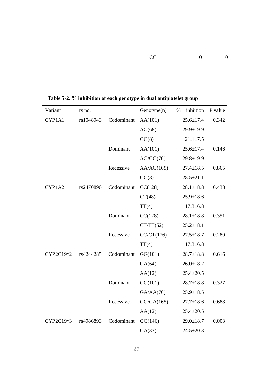| Variant   | rs no.    |            | Genotype(n) | $\%$ | inhiition       | P value |
|-----------|-----------|------------|-------------|------|-----------------|---------|
| CYP1A1    | rs1048943 | Codominant | AA(101)     |      | $25.6 \pm 17.4$ | 0.342   |
|           |           |            | AG(68)      |      | $29.9 \pm 19.9$ |         |
|           |           |            | GG(8)       |      | $21.1 \pm 7.5$  |         |
|           |           | Dominant   | AA(101)     |      | $25.6 \pm 17.4$ | 0.146   |
|           |           |            | AG/GG(76)   |      | $29.8 \pm 19.9$ |         |
|           |           | Recessive  | AA/AG(169)  |      | $27.4 \pm 18.5$ | 0.865   |
|           |           |            | GG(8)       |      | $28.5 \pm 21.1$ |         |
| CYP1A2    | rs2470890 | Codominant | CC(128)     |      | $28.1 \pm 18.8$ | 0.438   |
|           |           |            | CT(48)      |      | $25.9 \pm 18.6$ |         |
|           |           |            | TT(4)       |      | $17.3 \pm 6.8$  |         |
|           |           | Dominant   | CC(128)     |      | $28.1 \pm 18.8$ | 0.351   |
|           |           |            | CT/TT(52)   |      | $25.2 \pm 18.1$ |         |
|           |           | Recessive  | CC/CT(176)  |      | $27.5 \pm 18.7$ | 0.280   |
|           |           |            | TT(4)       |      | $17.3 \pm 6.8$  |         |
| CYP2C19*2 | rs4244285 | Codominant | GG(101)     |      | $28.7 \pm 18.8$ | 0.616   |
|           |           |            | GA(64)      |      | $26.0 \pm 18.2$ |         |
|           |           |            | AA(12)      |      | $25.4 \pm 20.5$ |         |
|           |           | Dominant   | GG(101)     |      | $28.7 \pm 18.8$ | 0.327   |
|           |           |            | GA/AA(76)   |      | $25.9 \pm 18.5$ |         |
|           |           | Recessive  | GG/GA(165)  |      | $27.7 \pm 18.6$ | 0.688   |
|           |           |            | AA(12)      |      | $25.4 \pm 20.5$ |         |
| CYP2C19*3 | rs4986893 | Codominant | GG(146)     |      | $29.0 \pm 18.7$ | 0.003   |
|           |           |            | GA(33)      |      | $24.5 \pm 20.3$ |         |

**Table 5-2. % inhibition of each genotype in dual antiplatelet group**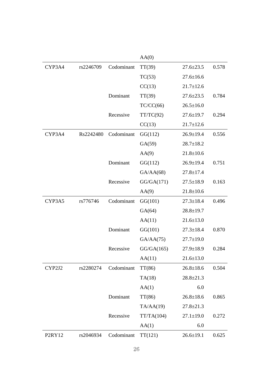|        |           |            | AA(0)      |                 |       |
|--------|-----------|------------|------------|-----------------|-------|
| CYP3A4 | rs2246709 | Codominant | TT(39)     | $27.6 \pm 23.5$ | 0.578 |
|        |           |            | TC(53)     | $27.6 \pm 16.6$ |       |
|        |           |            | CC(13)     | $21.7 \pm 12.6$ |       |
|        |           | Dominant   | TT(39)     | $27.6 \pm 23.5$ | 0.784 |
|        |           |            | TC/CC(66)  | $26.5 \pm 16.0$ |       |
|        |           | Recessive  | TT/TC(92)  | $27.6 \pm 19.7$ | 0.294 |
|        |           |            | CC(13)     | $21.7 \pm 12.6$ |       |
| CYP3A4 | Rs2242480 | Codominant | GG(112)    | $26.9 \pm 19.4$ | 0.556 |
|        |           |            | GA(59)     | $28.7 \pm 18.2$ |       |
|        |           |            | AA(9)      | $21.8 \pm 10.6$ |       |
|        |           | Dominant   | GG(112)    | $26.9 \pm 19.4$ | 0.751 |
|        |           |            | GA/AA(68)  | $27.8 \pm 17.4$ |       |
|        |           | Recessive  | GG/GA(171) | $27.5 \pm 18.9$ | 0.163 |
|        |           |            | AA(9)      | $21.8 \pm 10.6$ |       |
| CYP3A5 | rs776746  | Codominant | GG(101)    | $27.3 \pm 18.4$ | 0.496 |
|        |           |            | GA(64)     | $28.8 \pm 19.7$ |       |
|        |           |            | AA(11)     | $21.6 \pm 13.0$ |       |
|        |           | Dominant   | GG(101)    | $27.3 \pm 18.4$ | 0.870 |
|        |           |            | GA/AA(75)  | $27.7 \pm 19.0$ |       |
|        |           | Recessive  | GG/GA(165) | $27.9 \pm 18.9$ | 0.284 |
|        |           |            | AA(11)     | $21.6 \pm 13.0$ |       |
| CYP2J2 | rs2280274 | Codominant | TT(86)     | $26.8 \pm 18.6$ | 0.504 |
|        |           |            | TA(18)     | $28.8 \pm 21.3$ |       |
|        |           |            | AA(1)      | 6.0             |       |
|        |           | Dominant   | TT(86)     | $26.8 \pm 18.6$ | 0.865 |
|        |           |            | TA/AA(19)  | $27.8 \pm 21.3$ |       |
|        |           | Recessive  | TT/TA(104) | $27.1 \pm 19.0$ | 0.272 |
|        |           |            | AA(1)      | 6.0             |       |
| P2RY12 | rs2046934 | Codominant | TT(121)    | $26.6 \pm 19.1$ | 0.625 |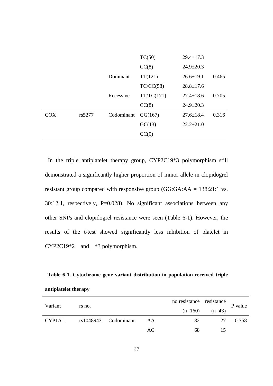|            |        |            | CC(0)      |                 |       |
|------------|--------|------------|------------|-----------------|-------|
|            |        |            | GC(13)     | $22.2+21.0$     |       |
| <b>COX</b> | rs5277 | Codominant | GG(167)    | $27.6 \pm 18.4$ | 0.316 |
|            |        |            | CC(8)      | $24.9 \pm 20.3$ |       |
|            |        | Recessive  | TT/TC(171) | $27.4 \pm 18.6$ | 0.705 |
|            |        |            | TC/CC(58)  | $28.8 \pm 17.6$ |       |
|            |        | Dominant   | TT(121)    | $26.6 \pm 19.1$ | 0.465 |
|            |        |            | CC(8)      | $24.9 \pm 20.3$ |       |
|            |        |            | TC(50)     | $29.4 \pm 17.3$ |       |

In the triple antiplatelet therapy group, CYP2C19\*3 polymorphism still demonstrated a significantly higher proportion of minor allele in clopidogrel resistant group compared with responsive group (GG:GA:AA = 138:21:1 vs. 30:12:1, respectively, P=0.028). No significant associations between any other SNPs and clopidogrel resistance were seen (Table 6-1). However, the results of the t-test showed significantly less inhibition of platelet in CYP2C19\*2 and \*3 polymorphism.

**Table 6-1. Cytochrome gene variant distribution in population received triple antiplatelet therapy** 

|                                 |        |                      |    | no resistance resistance |                    |         |
|---------------------------------|--------|----------------------|----|--------------------------|--------------------|---------|
| Variant                         | rs no. |                      |    |                          | $(n=160)$ $(n=43)$ | P value |
| CYP <sub>1</sub> A <sub>1</sub> |        | rs1048943 Codominant | AA | 82                       | 27                 | 0.358   |
|                                 |        |                      | AG | 68                       | 15                 |         |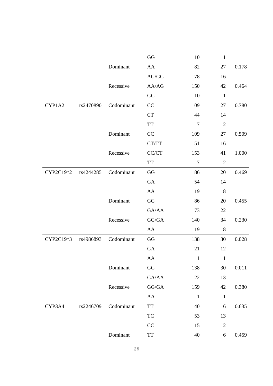|           |           |            | $\mathbf{G}\mathbf{G}$                             | 10               | $\,1$          |       |
|-----------|-----------|------------|----------------------------------------------------|------------------|----------------|-------|
|           |           | Dominant   | ${\rm AA}$                                         | 82               | 27             | 0.178 |
|           |           |            | $\rm{AG/GG}$                                       | 78               | 16             |       |
|           |           | Recessive  | AA/AG                                              | 150              | 42             | 0.464 |
|           |           |            | $\rm GG$                                           | 10               | $\,1$          |       |
| CYP1A2    | rs2470890 | Codominant | CC                                                 | 109              | 27             | 0.780 |
|           |           |            | CT                                                 | 44               | 14             |       |
|           |           |            | <b>TT</b>                                          | $\boldsymbol{7}$ | $\overline{2}$ |       |
|           |           | Dominant   | CC                                                 | 109              | 27             | 0.509 |
|           |           |            | CT/TT                                              | 51               | 16             |       |
|           |           | Recessive  | CC/CT                                              | 153              | 41             | 1.000 |
|           |           |            | $\ensuremath{\mathcal{T}}\ensuremath{\mathcal{T}}$ | $\tau$           | $\overline{2}$ |       |
| CYP2C19*2 | rs4244285 | Codominant | $\rm GG$                                           | 86               | 20             | 0.469 |
|           |           |            | GA                                                 | 54               | 14             |       |
|           |           |            | AA                                                 | 19               | $\,8\,$        |       |
|           |           | Dominant   | GG                                                 | 86               | 20             | 0.455 |
|           |           |            | GA/AA                                              | 73               | 22             |       |
|           |           | Recessive  | ${\rm GG}/{\rm GA}$                                | 140              | 34             | 0.230 |
|           |           |            | AA                                                 | 19               | $8\,$          |       |
| CYP2C19*3 | rs4986893 | Codominant | GG                                                 | 138              | 30             | 0.028 |
|           |           |            | GA                                                 | 21               | 12             |       |
|           |           |            | ${\rm AA}$                                         | $\mathbf{1}$     | $\mathbf{1}$   |       |
|           |           | Dominant   | $\rm GG$                                           | 138              | 30             | 0.011 |
|           |           |            | GA/AA                                              | $22\,$           | 13             |       |
|           |           | Recessive  | GG/GA                                              | 159              | 42             | 0.380 |
|           |           |            | ${\rm AA}$                                         | $\,1$            | $\,1$          |       |
| CYP3A4    | rs2246709 | Codominant | <b>TT</b>                                          | 40               | $\sqrt{6}$     | 0.635 |
|           |           |            | TC                                                 | 53               | 13             |       |
|           |           |            | CC                                                 | 15               | $\sqrt{2}$     |       |
|           |           | Dominant   | $\ensuremath{\mathcal{T}}\ensuremath{\mathcal{T}}$ | 40               | 6              | 0.459 |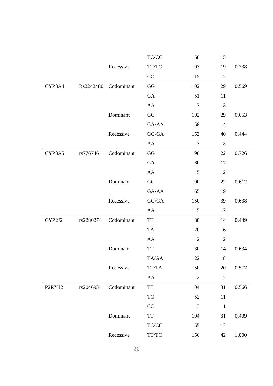|        |           |            | $\ensuremath{\mathsf{T}\mathsf{C}/\mathsf{C}\mathsf{C}}$ | 68               | 15               |       |
|--------|-----------|------------|----------------------------------------------------------|------------------|------------------|-------|
|        |           | Recessive  | TT/TC                                                    | 93               | 19               | 0.738 |
|        |           |            | CC                                                       | 15               | $\boldsymbol{2}$ |       |
| CYP3A4 | Rs2242480 | Codominant | $\rm GG$                                                 | 102              | 29               | 0.569 |
|        |           |            | ${\rm GA}$                                               | 51               | 11               |       |
|        |           |            | ${\rm AA}$                                               | $\tau$           | $\mathfrak{Z}$   |       |
|        |           | Dominant   | GG                                                       | 102              | 29               | 0.653 |
|        |           |            | GA/AA                                                    | 58               | 14               |       |
|        |           | Recessive  | GG/GA                                                    | 153              | 40               | 0.444 |
|        |           |            | ${\rm AA}$                                               | $\boldsymbol{7}$ | $\mathfrak{Z}$   |       |
| CYP3A5 | rs776746  | Codominant | $\mathbf{G}\mathbf{G}$                                   | 90               | 22               | 0.726 |
|        |           |            | ${\rm GA}$                                               | 60               | 17               |       |
|        |           |            | ${\rm AA}$                                               | 5                | $\mathfrak{2}$   |       |
|        |           | Dominant   | GG                                                       | 90               | 22               | 0.612 |
|        |           |            | GA/AA                                                    | 65               | 19               |       |
|        |           | Recessive  | ${\rm GG}/{\rm GA}$                                      | 150              | 39               | 0.638 |
|        |           |            | AA                                                       | $\sqrt{5}$       | $\boldsymbol{2}$ |       |
| CYP2J2 | rs2280274 | Codominant | TT                                                       | 30               | 14               | 0.449 |
|        |           |            | TA                                                       | 20               | 6                |       |
|        |           |            | ${\rm AA}$                                               | $\mathfrak{2}$   | $\boldsymbol{2}$ |       |
|        |           | Dominant   | TT                                                       | 30               | 14               | 0.634 |
|        |           |            | TA/AA                                                    | $22\,$           | $\,8\,$          |       |
|        |           | Recessive  | TT/TA                                                    | 50               | 20               | 0.577 |
|        |           |            | ${\rm AA}$                                               | $\sqrt{2}$       | $\boldsymbol{2}$ |       |
| P2RY12 | rs2046934 | Codominant | $\ensuremath{\mathsf{T}}\ensuremath{\mathsf{T}}$         | 104              | 31               | 0.566 |
|        |           |            | TC                                                       | 52               | 11               |       |
|        |           |            | CC                                                       | $\mathfrak{Z}$   | $\mathbf 1$      |       |
|        |           | Dominant   | TT                                                       | 104              | 31               | 0.409 |
|        |           |            | $\ensuremath{\mathsf{T}\mathsf{C}/\mathsf{C}\mathsf{C}}$ | 55               | 12               |       |
|        |           | Recessive  | TT/TC                                                    | 156              | $42\,$           | 1.000 |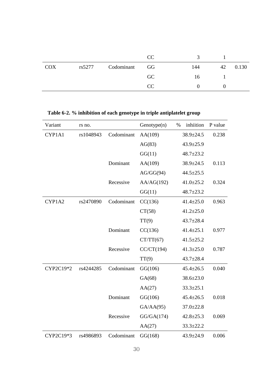|            |        |               | CC. |     |    |       |
|------------|--------|---------------|-----|-----|----|-------|
| <b>COX</b> | rs5277 | Codominant GG |     | 144 | 42 | 0.130 |
|            |        |               | GC  | 16  |    |       |
|            |        |               | CC  |     |    |       |

| Variant   | rs no.    |            | Genotype(n) | % | inhiition       | P value |
|-----------|-----------|------------|-------------|---|-----------------|---------|
| CYP1A1    | rs1048943 | Codominant | AA(109)     |   | 38.9±24.5       | 0.238   |
|           |           |            | AG(83)      |   | $43.9 \pm 25.9$ |         |
|           |           |            | GG(11)      |   | $48.7 \pm 23.2$ |         |
|           |           | Dominant   | AA(109)     |   | $38.9 \pm 24.5$ | 0.113   |
|           |           |            | AG/GG(94)   |   | $44.5 \pm 25.5$ |         |
|           |           | Recessive  | AA/AG(192)  |   | $41.0 \pm 25.2$ | 0.324   |
|           |           |            | GG(11)      |   | $48.7 \pm 23.2$ |         |
| CYP1A2    | rs2470890 | Codominant | CC(136)     |   | $41.4 \pm 25.0$ | 0.963   |
|           |           |            | CT(58)      |   | $41.2 \pm 25.0$ |         |
|           |           |            | TT(9)       |   | $43.7 \pm 28.4$ |         |
|           |           | Dominant   | CC(136)     |   | $41.4 \pm 25.1$ | 0.977   |
|           |           |            | CT/TT(67)   |   | $41.5 \pm 25.2$ |         |
|           |           | Recessive  | CC/CT(194)  |   | $41.3 \pm 25.0$ | 0.787   |
|           |           |            | TT(9)       |   | $43.7 \pm 28.4$ |         |
| CYP2C19*2 | rs4244285 | Codominant | GG(106)     |   | $45.4 \pm 26.5$ | 0.040   |
|           |           |            | GA(68)      |   | $38.6 \pm 23.0$ |         |
|           |           |            | AA(27)      |   | $33.3 \pm 25.1$ |         |
|           |           | Dominant   | GG(106)     |   | $45.4 \pm 26.5$ | 0.018   |
|           |           |            | GA/AA(95)   |   | $37.0 \pm 22.8$ |         |
|           |           | Recessive  | GG/GA(174)  |   | $42.8 \pm 25.3$ | 0.069   |
|           |           |            | AA(27)      |   | $33.3 \pm 22.2$ |         |
| CYP2C19*3 | rs4986893 | Codominant | GG(168)     |   | 43.9±24.9       | 0.006   |

**Table 6-2. % inhibition of each genotype in triple antiplatelet group**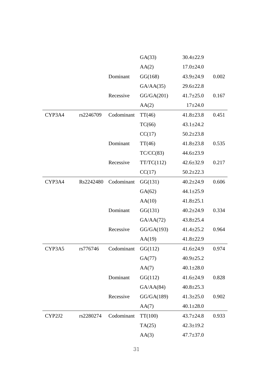|        |           |            | GA(33)     | $30.4 \pm 22.9$ |       |
|--------|-----------|------------|------------|-----------------|-------|
|        |           |            | AA(2)      | $17.0 \pm 24.0$ |       |
|        |           | Dominant   | GG(168)    | $43.9 \pm 24.9$ | 0.002 |
|        |           |            | GA/AA(35)  | $29.6 \pm 22.8$ |       |
|        |           | Recessive  | GG/GA(201) | $41.7 \pm 25.0$ | 0.167 |
|        |           |            | AA(2)      | $17+24.0$       |       |
| CYP3A4 | rs2246709 | Codominant | TT(46)     | $41.8 \pm 23.8$ | 0.451 |
|        |           |            | TC(66)     | $43.1 \pm 24.2$ |       |
|        |           |            | CC(17)     | $50.2 \pm 23.8$ |       |
|        |           | Dominant   | TT(46)     | $41.8 \pm 23.8$ | 0.535 |
|        |           |            | TC/CC(83)  | $44.6 \pm 23.9$ |       |
|        |           | Recessive  | TT/TC(112) | $42.6 \pm 32.9$ | 0.217 |
|        |           |            | CC(17)     | $50.2 \pm 22.3$ |       |
| CYP3A4 | Rs2242480 | Codominant | GG(131)    | $40.2 \pm 24.9$ | 0.606 |
|        |           |            | GA(62)     | $44.1 \pm 25.9$ |       |
|        |           |            | AA(10)     | $41.8 \pm 25.1$ |       |
|        |           | Dominant   | GG(131)    | $40.2 \pm 24.9$ | 0.334 |
|        |           |            | GA/AA(72)  | $43.8 \pm 25.4$ |       |
|        |           | Recessive  | GG/GA(193) | $41.4 \pm 25.2$ | 0.964 |
|        |           |            | AA(19)     | $41.8 \pm 22.9$ |       |
| CYP3A5 | rs776746  | Codominant | GG(112)    | $41.6 \pm 24.9$ | 0.974 |
|        |           |            | GA(77)     | $40.9 \pm 25.2$ |       |
|        |           |            | AA(7)      | $40.1 \pm 28.0$ |       |
|        |           | Dominant   | GG(112)    | $41.6 \pm 24.9$ | 0.828 |
|        |           |            | GA/AA(84)  | $40.8 \pm 25.3$ |       |
|        |           | Recessive  | GG/GA(189) | $41.3 \pm 25.0$ | 0.902 |
|        |           |            | AA(7)      | $40.1 \pm 28.0$ |       |
| CYP2J2 | rs2280274 | Codominant | TT(100)    | $43.7 \pm 24.8$ | 0.933 |
|        |           |            | TA(25)     | $42.3 \pm 19.2$ |       |
|        |           |            | AA(3)      | $47.7 \pm 37.0$ |       |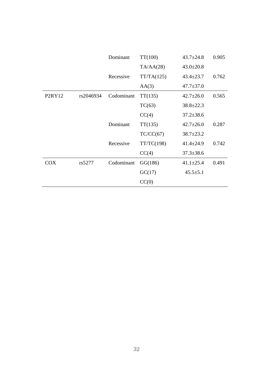|                                 |           | Dominant   | TT(100)    | $43.7 \pm 24.8$ | 0.905 |
|---------------------------------|-----------|------------|------------|-----------------|-------|
|                                 |           |            | TA/AA(28)  | $43.0 \pm 20.8$ |       |
|                                 |           | Recessive  | TT/TA(125) | $43.4 \pm 23.7$ | 0.762 |
|                                 |           |            | AA(3)      | $47.7 \pm 37.0$ |       |
| P <sub>2</sub> RY <sub>12</sub> | rs2046934 | Codominant | TT(135)    | $42.7 \pm 26.0$ | 0.565 |
|                                 |           |            | TC(63)     | $38.8 \pm 22.3$ |       |
|                                 |           |            | CC(4)      | $37.2 \pm 38.6$ |       |
|                                 |           | Dominant   | TT(135)    | $42.7 \pm 26.0$ | 0.287 |
|                                 |           |            | TC/CC(67)  | $38.7 \pm 23.2$ |       |
|                                 |           | Recessive  | TT/TC(198) | $41.4 \pm 24.9$ | 0.742 |
|                                 |           |            | CC(4)      | $37.3 \pm 38.6$ |       |
| COX                             | rs5277    | Codominant | GG(186)    | $41.1 \pm 25.4$ | 0.491 |
|                                 |           |            | GC(17)     | $45.5 \pm 5.1$  |       |
|                                 |           |            | CC(0)      |                 |       |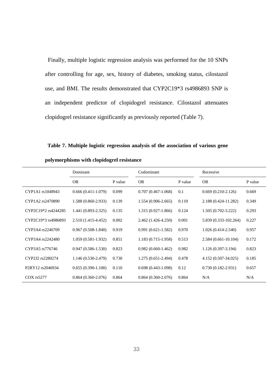Finally, multiple logistic regression analysis was performed for the 10 SNPs after controlling for age, sex, history of diabetes, smoking status, cilostazol use, and BMI. The results demonstrated that CYP2C19\*3 rs4986893 SNP is an independent predictor of clopidogrel resistance. Cilostazol attenuates clopidogrel resistance significantly as previously reported (Table 7).

**Table 7. Multiple logistic regression analysis of the association of various gene** 

|                                                       | Dominant               |         | Codominant             |         | Recessive              |         |
|-------------------------------------------------------|------------------------|---------|------------------------|---------|------------------------|---------|
|                                                       | <b>OR</b>              | P value | <b>OR</b>              | P value | <b>OR</b>              | P value |
| CYP1A1 rs1048943                                      | $0.666(0.411-1.079)$   | 0.099   | $0.707(0.467 - 1.068)$ | 0.1     | $0.669(0.210-2.126)$   | 0.669   |
| CYP1A2 rs2470890                                      | 1.588 (0.860-2.933)    | 0.139   | 1.554 (0.906-2.665)    | 0.110   | 2.188 (0.424-11.282)   | 0.349   |
| CYP2C19*2 rs4244285                                   | 1.441 (0.893-2.325)    | 0.135   | 1.315 (0.927-1.866)    | 0.124   | 1.505 (0.702-3.222)    | 0.293   |
| CYP2C19*3 rs4986893                                   | 2.510 (1.415-4.452)    | 0.002   | 2.462 (1.426-4.250)    | 0.001   | 5.839 (0.333-102.264)  | 0.227   |
| CYP3A4 rs2246709                                      | $0.967(0.508-1.840)$   | 0.919   | $0.991(0.621-1.582)$   | 0.970   | $1.026(0.414 - 2.540)$ | 0.957   |
| CYP3A4 rs2242480                                      | 1.059 (0.581-1.932)    | 0.851   | 1.183 (0.715-1.958)    | 0.513   | 2.584 (0.661-10.104)   | 0.172   |
| CYP3A5 rs776746                                       | $0.947(0.586 - 1.530)$ | 0.823   | $0.982(0.660-1.462)$   | 0.982   | 1.126 (0.397-3.194)    | 0.823   |
| CYP2J2 rs2280274                                      | 1.146 (0.530-2.479)    | 0.730   | 1.275 (0.651-2.494)    | 0.478   | 4.152 (0.507-34.025)   | 0.185   |
| P <sub>2</sub> RY <sub>12</sub> rs <sub>2046934</sub> | $0.655(0.390-1.100)$   | 0.110   | $0.698(0.443-1.098)$   | 0.12    | $0.730(0.182 - 2.931)$ | 0.657   |
| COX rs5277                                            | $0.864(0.360-2.076)$   | 0.864   | $0.864(0.360-2.076)$   | 0.864   | N/A                    | N/A     |

**polymorphisms with clopidogrel resistance**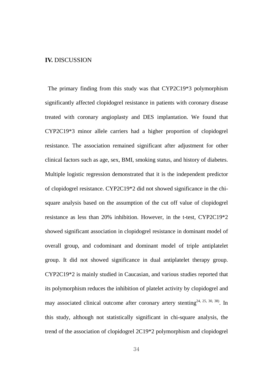#### **IV.** DISCUSSION

The primary finding from this study was that CYP2C19\*3 polymorphism significantly affected clopidogrel resistance in patients with coronary disease treated with coronary angioplasty and DES implantation. We found that CYP2C19\*3 minor allele carriers had a higher proportion of clopidogrel resistance. The association remained significant after adjustment for other clinical factors such as age, sex, BMI, smoking status, and history of diabetes. Multiple logistic regression demonstrated that it is the independent predictor of clopidogrel resistance. CYP2C19\*2 did not showed significance in the chisquare analysis based on the assumption of the cut off value of clopidogrel resistance as less than 20% inhibition. However, in the t-test, CYP2C19\*2 showed significant association in clopidogrel resistance in dominant model of overall group, and codominant and dominant model of triple antiplatelet group. It did not showed significance in dual antiplatelet therapy group. CYP2C19\*2 is mainly studied in Caucasian, and various studies reported that its polymorphism reduces the inhibition of platelet activity by clopidogrel and may associated clinical outcome after coronary artery stenting<sup>24, 25, 30, 38)</sup>. In this study, although not statistically significant in chi-square analysis, the trend of the association of clopidogrel 2C19\*2 polymorphism and clopidogrel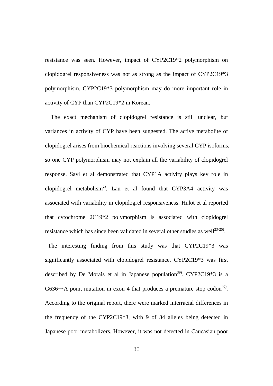resistance was seen. However, impact of CYP2C19\*2 polymorphism on clopidogrel responsiveness was not as strong as the impact of CYP2C19\*3 polymorphism. CYP2C19\*3 polymorphism may do more important role in activity of CYP than CYP2C19\*2 in Korean.

The exact mechanism of clopidogrel resistance is still unclear, but variances in activity of CYP have been suggested. The active metabolite of clopidogrel arises from biochemical reactions involving several CYP isoforms, so one CYP polymorphism may not explain all the variability of clopidogrel response. Savi et al demonstrated that CYP1A activity plays key role in clopidogrel metabolism<sup>2)</sup>. Lau et al found that CYP3A4 activity was associated with variability in clopidogrel responsiveness. Hulot et al reported that cytochrome 2C19\*2 polymorphism is associated with clopidogrel resistance which has since been validated in several other studies as well<sup>23-25</sup>).

The interesting finding from this study was that CYP2C19\*3 was significantly associated with clopidogrel resistance. CYP2C19\*3 was first described by De Morais et al in Japanese population<sup>39)</sup>. CYP2C19\*3 is a G636 $\rightarrow$ A point mutation in exon 4 that produces a premature stop codon<sup>40)</sup>. According to the original report, there were marked interracial differences in the frequency of the CYP2C19\*3, with 9 of 34 alleles being detected in Japanese poor metabolizers. However, it was not detected in Caucasian poor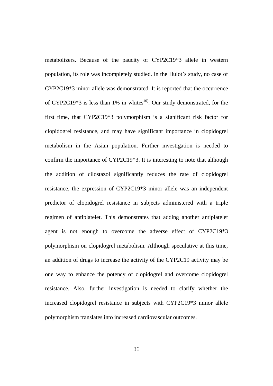metabolizers. Because of the paucity of CYP2C19\*3 allele in western population, its role was incompletely studied. In the Hulot's study, no case of CYP2C19\*3 minor allele was demonstrated. It is reported that the occurrence of CYP2C19\*3 is less than 1% in whites $40$ . Our study demonstrated, for the first time, that CYP2C19\*3 polymorphism is a significant risk factor for clopidogrel resistance, and may have significant importance in clopidogrel metabolism in the Asian population. Further investigation is needed to confirm the importance of CYP2C19\*3. It is interesting to note that although the addition of cilostazol significantly reduces the rate of clopidogrel resistance, the expression of CYP2C19\*3 minor allele was an independent predictor of clopidogrel resistance in subjects administered with a triple regimen of antiplatelet. This demonstrates that adding another antiplatelet agent is not enough to overcome the adverse effect of CYP2C19\*3 polymorphism on clopidogrel metabolism. Although speculative at this time, an addition of drugs to increase the activity of the CYP2C19 activity may be one way to enhance the potency of clopidogrel and overcome clopidogrel resistance. Also, further investigation is needed to clarify whether the increased clopidogrel resistance in subjects with CYP2C19\*3 minor allele polymorphism translates into increased cardiovascular outcomes.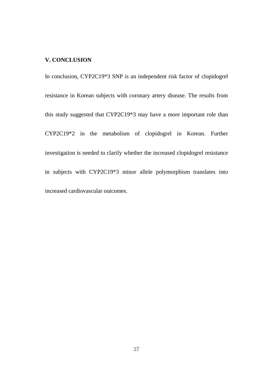#### **V. CONCLUSION**

In conclusion, CYP2C19\*3 SNP is an independent risk factor of clopidogrel resistance in Korean subjects with coronary artery disease. The results from this study suggested that CYP2C19\*3 may have a more important role than CYP2C19\*2 in the metabolism of clopidogrel in Korean. Further investigation is needed to clarify whether the increased clopidogrel resistance in subjects with CYP2C19\*3 minor allele polymorphism translates into increased cardiovascular outcomes.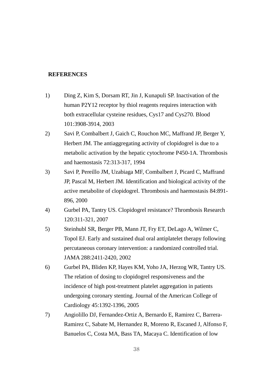#### **REFERENCES**

- 1) Ding Z, Kim S, Dorsam RT, Jin J, Kunapuli SP. Inactivation of the human P2Y12 receptor by thiol reagents requires interaction with both extracellular cysteine residues, Cys17 and Cys270. Blood 101:3908-3914, 2003
- 2) Savi P, Combalbert J, Gaich C, Rouchon MC, Maffrand JP, Berger Y, Herbert JM. The antiaggregating activity of clopidogrel is due to a metabolic activation by the hepatic cytochrome P450-1A. Thrombosis and haemostasis 72:313-317, 1994
- 3) Savi P, Pereillo JM, Uzabiaga MF, Combalbert J, Picard C, Maffrand JP, Pascal M, Herbert JM. Identification and biological activity of the active metabolite of clopidogrel. Thrombosis and haemostasis 84:891- 896, 2000
- 4) Gurbel PA, Tantry US. Clopidogrel resistance? Thrombosis Research 120:311-321, 2007
- 5) Steinhubl SR, Berger PB, Mann JT, Fry ET, DeLago A, Wilmer C, Topol EJ. Early and sustained dual oral antiplatelet therapy following percutaneous coronary intervention: a randomized controlled trial. JAMA 288:2411-2420, 2002
- 6) Gurbel PA, Bliden KP, Hayes KM, Yoho JA, Herzog WR, Tantry US. The relation of dosing to clopidogrel responsiveness and the incidence of high post-treatment platelet aggregation in patients undergoing coronary stenting. Journal of the American College of Cardiology 45:1392-1396, 2005
- 7) Angiolillo DJ, Fernandez-Ortiz A, Bernardo E, Ramirez C, Barrera-Ramirez C, Sabate M, Hernandez R, Moreno R, Escaned J, Alfonso F, Banuelos C, Costa MA, Bass TA, Macaya C. Identification of low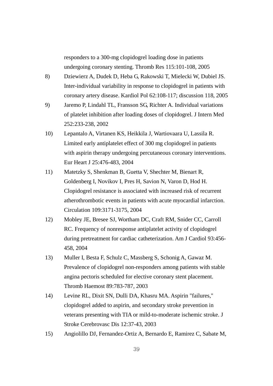responders to a 300-mg clopidogrel loading dose in patients undergoing coronary stenting. Thromb Res 115:101-108, 2005

- 8) Dziewierz A, Dudek D, Heba G, Rakowski T, Mielecki W, Dubiel JS. Inter-individual variability in response to clopidogrel in patients with coronary artery disease. Kardiol Pol 62:108-117; discussion 118, 2005
- 9) Jaremo P, Lindahl TL, Fransson SG, Richter A. Individual variations of platelet inhibition after loading doses of clopidogrel. J Intern Med 252:233-238, 2002
- 10) Lepantalo A, Virtanen KS, Heikkila J, Wartiovaara U, Lassila R. Limited early antiplatelet effect of 300 mg clopidogrel in patients with aspirin therapy undergoing percutaneous coronary interventions. Eur Heart J 25:476-483, 2004
- 11) Matetzky S, Shenkman B, Guetta V, Shechter M, Bienart R, Goldenberg I, Novikov I, Pres H, Savion N, Varon D, Hod H. Clopidogrel resistance is associated with increased risk of recurrent atherothrombotic events in patients with acute myocardial infarction. Circulation 109:3171-3175, 2004
- 12) Mobley JE, Bresee SJ, Wortham DC, Craft RM, Snider CC, Carroll RC. Frequency of nonresponse antiplatelet activity of clopidogrel during pretreatment for cardiac catheterization. Am J Cardiol 93:456- 458, 2004
- 13) Muller I, Besta F, Schulz C, Massberg S, Schonig A, Gawaz M. Prevalence of clopidogrel non-responders among patients with stable angina pectoris scheduled for elective coronary stent placement. Thromb Haemost 89:783-787, 2003
- 14) Levine RL, Dixit SN, Dulli DA, Khasru MA. Aspirin "failures," clopidogrel added to aspirin, and secondary stroke prevention in veterans presenting with TIA or mild-to-moderate ischemic stroke. J Stroke Cerebrovasc Dis 12:37-43, 2003
- 15) Angiolillo DJ, Fernandez-Ortiz A, Bernardo E, Ramirez C, Sabate M,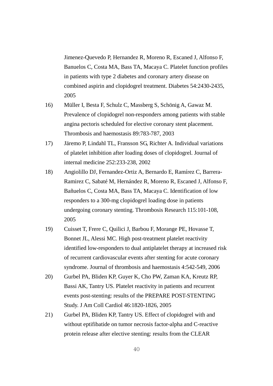Jimenez-Quevedo P, Hernandez R, Moreno R, Escaned J, Alfonso F, Banuelos C, Costa MA, Bass TA, Macaya C. Platelet function profiles in patients with type 2 diabetes and coronary artery disease on combined aspirin and clopidogrel treatment. Diabetes 54:2430-2435, 2005

- 16) Müller I, Besta F, Schulz C, Massberg S, Schönig A, Gawaz M. Prevalence of clopidogrel non-responders among patients with stable angina pectoris scheduled for elective coronary stent placement. Thrombosis and haemostasis 89:783-787, 2003
- 17) Järemo P, Lindahl TL, Fransson SG, Richter A. Individual variations of platelet inhibition after loading doses of clopidogrel. Journal of internal medicine 252:233-238, 2002
- 18) Angiolillo DJ, Fernandez-Ortiz A, Bernardo E, Ramírez C, Barrera-Ramirez C, Sabaté M, Hernández R, Moreno R, Escaned J, Alfonso F, Bañuelos C, Costa MA, Bass TA, Macaya C. Identification of low responders to a 300-mg clopidogrel loading dose in patients undergoing coronary stenting. Thrombosis Research 115:101-108, 2005
- 19) Cuisset T, Frere C, Quilici J, Barbou F, Morange PE, Hovasse T, Bonnet JL, Alessi MC. High post-treatment platelet reactivity identified low-responders to dual antiplatelet therapy at increased risk of recurrent cardiovascular events after stenting for acute coronary syndrome. Journal of thrombosis and haemostasis 4:542-549, 2006
- 20) Gurbel PA, Bliden KP, Guyer K, Cho PW, Zaman KA, Kreutz RP, Bassi AK, Tantry US. Platelet reactivity in patients and recurrent events post-stenting: results of the PREPARE POST-STENTING Study. J Am Coll Cardiol 46:1820-1826, 2005
- 21) Gurbel PA, Bliden KP, Tantry US. Effect of clopidogrel with and without eptifibatide on tumor necrosis factor-alpha and C-reactive protein release after elective stenting: results from the CLEAR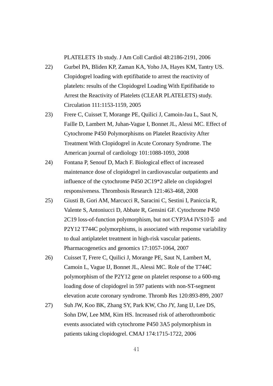PLATELETS 1b study. J Am Coll Cardiol 48:2186-2191, 2006

- 22) Gurbel PA, Bliden KP, Zaman KA, Yoho JA, Hayes KM, Tantry US. Clopidogrel loading with eptifibatide to arrest the reactivity of platelets: results of the Clopidogrel Loading With Eptifibatide to Arrest the Reactivity of Platelets (CLEAR PLATELETS) study. Circulation 111:1153-1159, 2005
- 23) Frere C, Cuisset T, Morange PE, Quilici J, Camoin-Jau L, Saut N, Faille D, Lambert M, Juhan-Vague I, Bonnet JL, Alessi MC. Effect of Cytochrome P450 Polymorphisms on Platelet Reactivity After Treatment With Clopidogrel in Acute Coronary Syndrome. The American journal of cardiology 101:1088-1093, 2008
- 24) Fontana P, Senouf D, Mach F. Biological effect of increased maintenance dose of clopidogrel in cardiovascular outpatients and influence of the cytochrome P450 2C19\*2 allele on clopidogrel responsiveness. Thrombosis Research 121:463-468, 2008
- 25) Giusti B, Gori AM, Marcucci R, Saracini C, Sestini I, Paniccia R, Valente S, Antoniucci D, Abbate R, Gensini GF. Cytochrome P450 2C19 loss-of-function polymorphism, but not CYP3A4 IVS10 $\frac{5}{9}$  and P2Y12 T744C polymorphisms, is associated with response variability to dual antiplatelet treatment in high-risk vascular patients. Pharmacogenetics and genomics 17:1057-1064, 2007
- 26) Cuisset T, Frere C, Quilici J, Morange PE, Saut N, Lambert M, Camoin L, Vague IJ, Bonnet JL, Alessi MC. Role of the T744C polymorphism of the P2Y12 gene on platelet response to a 600-mg loading dose of clopidogrel in 597 patients with non-ST-segment elevation acute coronary syndrome. Thromb Res 120:893-899, 2007
- 27) Suh JW, Koo BK, Zhang SY, Park KW, Cho JY, Jang IJ, Lee DS, Sohn DW, Lee MM, Kim HS. Increased risk of atherothrombotic events associated with cytochrome P450 3A5 polymorphism in patients taking clopidogrel. CMAJ 174:1715-1722, 2006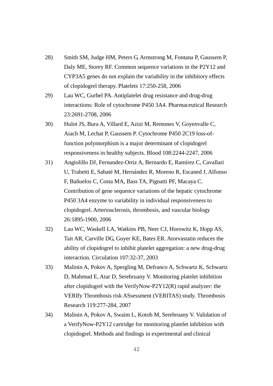- 28) Smith SM, Judge HM, Peters G, Armstrong M, Fontana P, Gaussem P, Daly ME, Storey RF. Common sequence variations in the P2Y12 and CYP3A5 genes do not explain the variability in the inhibitory effects of clopidogrel therapy. Platelets 17:250-258, 2006
- 29) Lau WC, Gurbel PA. Antiplatelet drug resistance and drug-drug interactions: Role of cytochrome P450 3A4. Pharmaceutical Research 23:2691-2708, 2006
- 30) Hulot JS, Bura A, Villard E, Azizi M, Remones V, Goyenvalle C, Aiach M, Lechat P, Gaussem P. Cytochrome P450 2C19 loss-offunction polymorphism is a major determinant of clopidogrel responsiveness in healthy subjects. Blood 108:2244-2247, 2006
- 31) Angiolillo DJ, Fernandez-Ortiz A, Bernardo E, Ramírez C, Cavallari U, Trabetti E, Sabaté M, Hernández R, Moreno R, Escaned J, Alfonso F, Bañuelos C, Costa MA, Bass TA, Pignatti PF, Macaya C. Contribution of gene sequence variations of the hepatic cytochrome P450 3A4 enzyme to variability in individual responsiveness to clopidogrel. Arteriosclerosis, thrombosis, and vascular biology 26:1895-1900, 2006
- 32) Lau WC, Waskell LA, Watkins PB, Neer CJ, Horowitz K, Hopp AS, Tait AR, Carville DG, Guyer KE, Bates ER. Atorvastatin reduces the ability of clopidogrel to inhibit platelet aggregation: a new drug-drug interaction. Circulation 107:32-37, 2003
- 33) Malinin A, Pokov A, Spergling M, Defranco A, Schwartz K, Schwartz D, Mahmud E, Atar D, Serebruany V. Monitoring platelet inhibition after clopidogrel with the VerifyNow-P2Y12(R) rapid analyzer: the VERIfy Thrombosis risk ASsessment (VERITAS) study. Thrombosis Research 119:277-284, 2007
- 34) Malinin A, Pokov A, Swaim L, Kotob M, Serebruany V. Validation of a VerifyNow-P2Y12 cartridge for monitoring platelet inhibition with clopidogrel. Methods and findings in experimental and clinical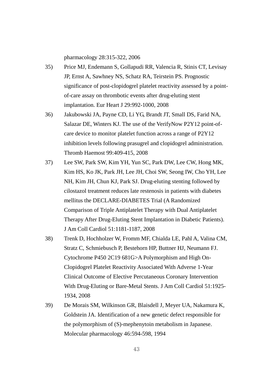pharmacology 28:315-322, 2006

- 35) Price MJ, Endemann S, Gollapudi RR, Valencia R, Stinis CT, Levisay JP, Ernst A, Sawhney NS, Schatz RA, Teirstein PS. Prognostic significance of post-clopidogrel platelet reactivity assessed by a pointof-care assay on thrombotic events after drug-eluting stent implantation. Eur Heart J 29:992-1000, 2008
- 36) Jakubowski JA, Payne CD, Li YG, Brandt JT, Small DS, Farid NA, Salazar DE, Winters KJ. The use of the VerifyNow P2Y12 point-ofcare device to monitor platelet function across a range of P2Y12 inhibition levels following prasugrel and clopidogrel administration. Thromb Haemost 99:409-415, 2008
- 37) Lee SW, Park SW, Kim YH, Yun SC, Park DW, Lee CW, Hong MK, Kim HS, Ko JK, Park JH, Lee JH, Choi SW, Seong IW, Cho YH, Lee NH, Kim JH, Chun KJ, Park SJ. Drug-eluting stenting followed by cilostazol treatment reduces late restenosis in patients with diabetes mellitus the DECLARE-DIABETES Trial (A Randomized Comparison of Triple Antiplatelet Therapy with Dual Antiplatelet Therapy After Drug-Eluting Stent Implantation in Diabetic Patients). J Am Coll Cardiol 51:1181-1187, 2008
- 38) Trenk D, Hochholzer W, Fromm MF, Chialda LE, Pahl A, Valina CM, Stratz C, Schmiebusch P, Bestehorn HP, Buttner HJ, Neumann FJ. Cytochrome P450 2C19 681G>A Polymorphism and High On-Clopidogrel Platelet Reactivity Associated With Adverse 1-Year Clinical Outcome of Elective Percutaneous Coronary Intervention With Drug-Eluting or Bare-Metal Stents. J Am Coll Cardiol 51:1925- 1934, 2008
- 39) De Morais SM, Wilkinson GR, Blaisdell J, Meyer UA, Nakamura K, Goldstein JA. Identification of a new genetic defect responsible for the polymorphism of (S)-mephenytoin metabolism in Japanese. Molecular pharmacology 46:594-598, 1994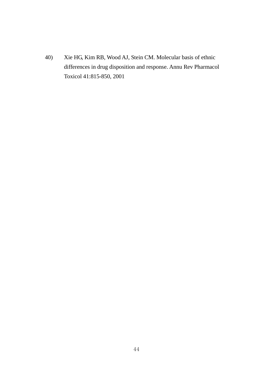40) Xie HG, Kim RB, Wood AJ, Stein CM. Molecular basis of ethnic differences in drug disposition and response. Annu Rev Pharmacol Toxicol 41:815-850, 2001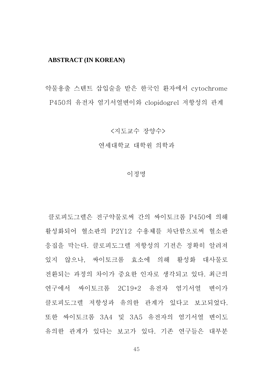#### **ABSTRACT (IN KOREAN)**

약물용출 스텐트 삽입술을 받은 한국인 환자에서 cytochrome P450의 유전자 염기서열변이와 clopidogrel 저항성의 관계

<지도교수 장양수>

연세대학교 대학원 의학과

#### 이정명

클로피도그렐은 전구약물로써 간의 싸이토크롬 P450에 의해 활성화되어 혈소판의 P2Y12 수용체를 차단함으로써 혈소판 응집을 막는다. 클로피도그렐 저항성의 기전은 정확히 알려져 있지 않으나, 싸이토크롬 효소에 의해 활성화 대사물로 전환되는 과정의 차이가 중요한 인자로 생각되고 있다. 최근의 연구에서 싸이토크롬 2C19\*2 유전자 염기서열 변이가 클로피도그렐 저항성과 유의한 관계가 있다고 보고되었다. 또한 싸이토크롬 3A4 및 3A5 유전자의 염기서열 변이도 유의한 관계가 있다는 보고가 있다. 기존 연구들은 대부분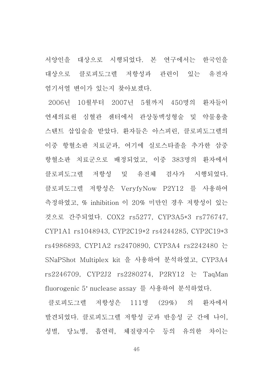서양인을 대상으로 시행되었다. 본 연구에서는 한국인을 대상으로 클로피도그렐 저항성과 관련이 있는 유전자 염기서열 변이가 있는지 찾아보겠다.

 2006년 10월부터 2007년 5월까지 450명의 환자들이 연세의료원 심혈관 센터에서 관상동맥성형술 및 약물용출 스텐트 삽입술을 받았다. 환자들은 아스피린, 클로피도그렐의 이중 항혈소판 치료군과, 여기에 실로스타졸을 추가한 삼중 항혈소판 치료군으로 배정되었고, 이중 383명의 환자에서 클로피도그렐 저항성 및 유전체 검사가 시행되었다. 클로피도그렐 저항성은 VeryfyNow P2Y12 를 사용하여 측정하였고, % inhibition 이 20% 미만인 경우 저항성이 있는 것으로 간주되었다. COX2 rs5277, CYP3A5\*3 rs776747, CYP1A1 rs1048943, CYP2C19\*2 rs4244285, CYP2C19\*3 rs4986893, CYP1A2 rs2470890, CYP3A4 rs2242480 는 SNaPShot Multiplex kit 을 사용하여 분석하였고, CYP3A4 rs2246709, CYP2J2 rs2280274, P2RY12 는 TaqMan fluorogenic 5' nuclease assay 를 사용하여 분석하였다.

클로피도그렐 저항성은 111명 (29%) 의 환자에서 발견되었다. 클로피도그렐 저항성 군과 반응성 군 간에 나이, 성별, 당뇨병, 흡연력, 체질량지수 등의 유의한 차이는

46